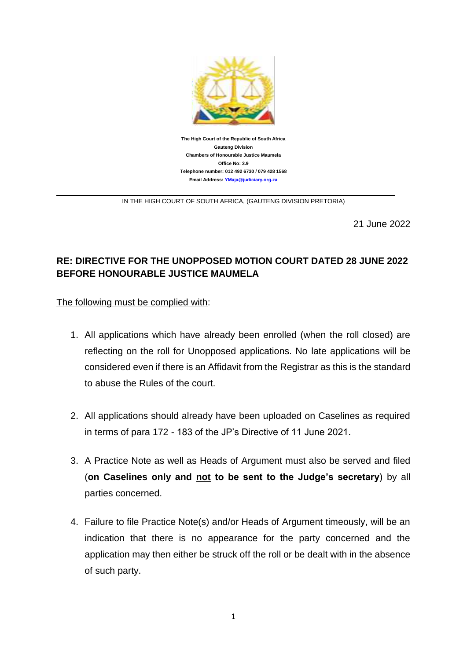

IN THE HIGH COURT OF SOUTH AFRICA, (GAUTENG DIVISION PRETORIA)

21 June 2022

## **RE: DIRECTIVE FOR THE UNOPPOSED MOTION COURT DATED 28 JUNE 2022 BEFORE HONOURABLE JUSTICE MAUMELA**

The following must be complied with:

- 1. All applications which have already been enrolled (when the roll closed) are reflecting on the roll for Unopposed applications. No late applications will be considered even if there is an Affidavit from the Registrar as this is the standard to abuse the Rules of the court.
- 2. All applications should already have been uploaded on Caselines as required in terms of para 172 - 183 of the JP's Directive of 11 June 2021.
- 3. A Practice Note as well as Heads of Argument must also be served and filed (**on Caselines only and not to be sent to the Judge's secretary**) by all parties concerned.
- 4. Failure to file Practice Note(s) and/or Heads of Argument timeously, will be an indication that there is no appearance for the party concerned and the application may then either be struck off the roll or be dealt with in the absence of such party.